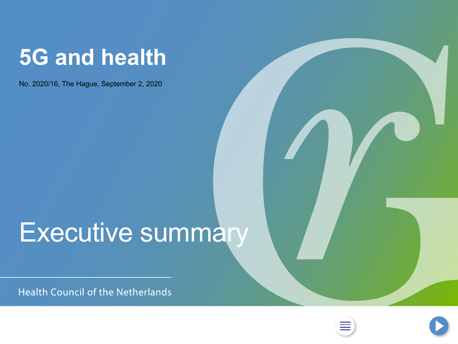## <span id="page-0-0"></span>**5G and health**

No. 2020/16, The Hague, September 2, 2020

# Executive summary

**Health Council of the Netherlands** 



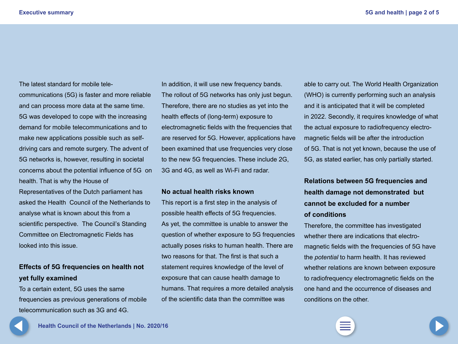<span id="page-1-0"></span>The latest standard for mobile telecommunications (5G) is faster and more reliable and can process more data at the same time. 5G was developed to cope with the increasing demand for mobile telecommunications and to make new applications possible such as selfdriving cars and remote surgery. The advent of 5G networks is, however, resulting in societal concerns about the potential influence of 5G on health. That is why the House of Representatives of the Dutch parliament has asked the Health Council of the Netherlands to analyse what is known about this from a scientific perspective. The Council's Standing Committee on Electromagnetic Fields has looked into this issue.

### **Effects of 5G frequencies on health not yet fully examined**

To a certain extent, 5G uses the same frequencies as previous generations of mobile telecommunication such as 3G and 4G.

In addition, it will use new frequency bands. The rollout of 5G networks has only just begun. Therefore, there are no studies as yet into the health effects of (long-term) exposure to electromagnetic fields with the frequencies that are reserved for 5G. However, applications have been examined that use frequencies very close to the new 5G frequencies. These include 2G, 3G and 4G, as well as Wi-Fi and radar.

#### **No actual health risks known**

This report is a first step in the analysis of possible health effects of 5G frequencies. As yet, the committee is unable to answer the question of whether exposure to 5G frequencies actually poses risks to human health. There are two reasons for that. The first is that such a statement requires knowledge of the level of exposure that can cause health damage to humans. That requires a more detailed analysis of the scientific data than the committee was

able to carry out. The World Health Organization (WHO) is currently performing such an analysis and it is anticipated that it will be completed in 2022. Secondly, it requires knowledge of what the actual exposure to radiofrequency electromagnetic fields will be after the introduction of 5G. That is not yet known, because the use of 5G, as stated earlier, has only partially started.

## **Relations between 5G frequencies and health damage not demonstrated but cannot be excluded for a number of conditions**

Therefore, the committee has investigated whether there are indications that electromagnetic fields with the frequencies of 5G have the *potential* to harm health. It has reviewed whether relations are known between exposure to radiofrequency electromagnetic fields on the one hand and the occurrence of diseases and conditions on the other.



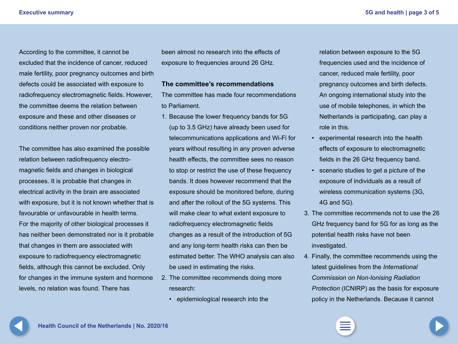<span id="page-2-0"></span>According to the committee, it cannot be excluded that the incidence of cancer, reduced male fertility, poor pregnancy outcomes and birth defects could be associated with exposure to radio frequency electromagnetic fields. However, the committee deems the relation between exposure and these and other diseases or conditions neither proven nor probable.

The committee has also examined the possible relation between radiofrequency electromagnetic fields and changes in biological processes. It is probable that changes in electrical activity in the brain are associated with exposure, but it is not known whether that is favourable or unfavourable in health terms. For the majority of other biological processes it has neither been demonstrated nor is it probable that changes in them are associated with exposure to radiofrequency electromagnetic fields, although this cannot be excluded. Only for changes in the immune system and hormone levels, no relation was found. There has

been almost no research into the effects of exposure to frequencies around 26 GHz.

#### **The committee's recommendations**

The committee has made four recommendations to Parliament.

- 1. Because the lower frequency bands for 5G (up to 3.5 GHz) have already been used for telecommunications applications and Wi-Fi for years without resulting in any proven adverse health effects, the committee sees no reason to stop or restrict the use of these frequency bands. It does however recommend that the exposure should be monitored before, during and after the rollout of the 5G systems. This will make clear to what extent exposure to radiofrequency electromagnetic fields changes as a result of the introduction of 5G and any long-term health risks can then be estimated better. The WHO analysis can also be used in estimating the risks.
- 2. The committee recommends doing more research:
	- epidemiological research into the

relation between exposure to the 5G frequencies used and the incidence of cancer, reduced male fertility, poor pregnancy outcomes and birth defects. An ongoing international study into the use of mobile telephones, in which the Netherlands is participating, can play a role in this.

- experimental research into the health effects of exposure to electromagnetic fields in the 26 GHz frequency band.
- scenario studies to get a picture of the exposure of individuals as a result of wireless communication systems (3G, 4G and 5G).
- 3. The committee recommends not to use the 26 GHz frequency band for 5G for as long as the potential health risks have not been investigated.
- 4. Finally, the committee recommends using the latest guidelines from the *International Commission on Non-Ionising Radiation Protection* (ICNIRP) as the basis for exposure policy in the Netherlands. Because it cannot

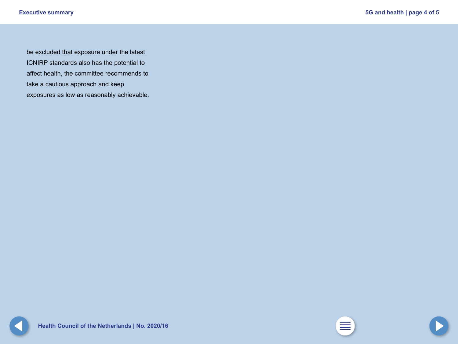<span id="page-3-0"></span>be excluded that exposure under the latest ICNIRP standards also has the potential to affect health, the committee recommends to take a cautious approach and keep exposures as low as reasonably achievable.